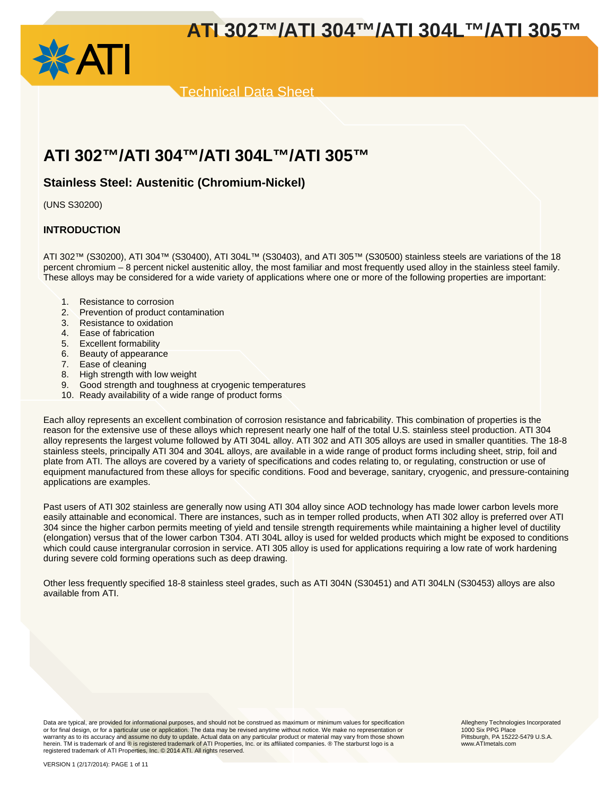



Technical Data Sheet

## **ATI 302™/ATI 304™/ATI 304L™/ATI 305™**

## **Stainless Steel: Austenitic (Chromium-Nickel)**

(UNS S30200)

## **INTRODUCTION**

ATI 302™ (S30200), ATI 304™ (S30400), ATI 304L™ (S30403), and ATI 305™ (S30500) stainless steels are variations of the 18 percent chromium – 8 percent nickel austenitic alloy, the most familiar and most frequently used alloy in the stainless steel family. These alloys may be considered for a wide variety of applications where one or more of the following properties are important:

- 1. Resistance to corrosion
- 2. Prevention of product contamination
- 3. Resistance to oxidation
- 4. Ease of fabrication
- 5. Excellent formability
- 6. Beauty of appearance
- 7. Ease of cleaning
- 8. High strength with low weight
- 9. Good strength and toughness at cryogenic temperatures
- 10. Ready availability of a wide range of product forms

Each alloy represents an excellent combination of corrosion resistance and fabricability. This combination of properties is the reason for the extensive use of these alloys which represent nearly one half of the total U.S. stainless steel production. ATI 304 alloy represents the largest volume followed by ATI 304L alloy. ATI 302 and ATI 305 alloys are used in smaller quantities. The 18-8 stainless steels, principally ATI 304 and 304L alloys, are available in a wide range of product forms including sheet, strip, foil and plate from ATI. The alloys are covered by a variety of specifications and codes relating to, or regulating, construction or use of equipment manufactured from these alloys for specific conditions. Food and beverage, sanitary, cryogenic, and pressure-containing applications are examples.

Past users of ATI 302 stainless are generally now using ATI 304 alloy since AOD technology has made lower carbon levels more easily attainable and economical. There are instances, such as in temper rolled products, when ATI 302 alloy is preferred over ATI 304 since the higher carbon permits meeting of yield and tensile strength requirements while maintaining a higher level of ductility (elongation) versus that of the lower carbon T304. ATI 304L alloy is used for welded products which might be exposed to conditions which could cause intergranular corrosion in service. ATI 305 alloy is used for applications requiring a low rate of work hardening during severe cold forming operations such as deep drawing.

Other less frequently specified 18-8 stainless steel grades, such as ATI 304N (S30451) and ATI 304LN (S30453) alloys are also available from ATI.

Data are typical, are provided for informational purposes, and should not be construed as maximum or minimum values for specification<br>or for final design, or for a particular use or application. The data may be revised any warranty as to its accuracy and assume no duty to update. Actual data on any particular product or material may vary from those shown herein. TM is trademark of and ® is registered trademark of ATI Properties, Inc. or its affiliated companies. ® The starburst logo is a registered trademark of ATI Properties, Inc. © 2014 ATI. All rights reserved.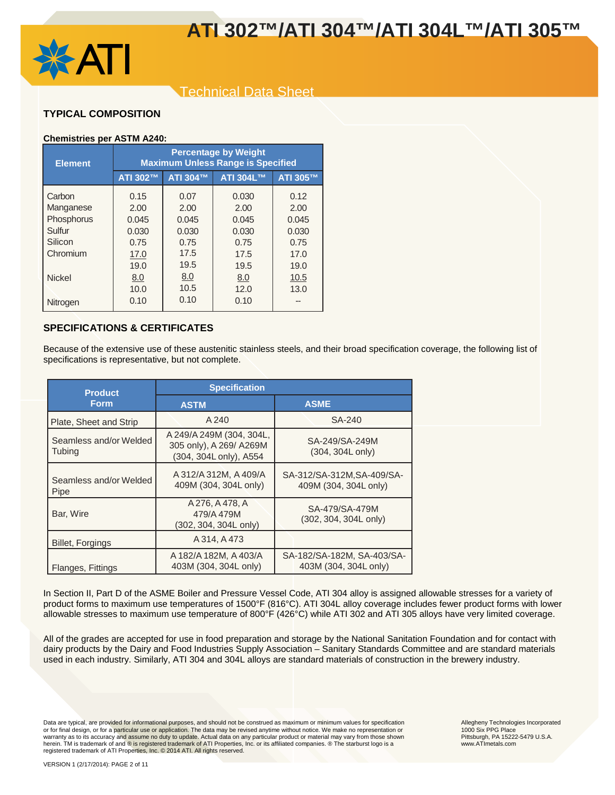

## Technical Data Sheet

## **TYPICAL COMPOSITION**

## **Chemistries per ASTM A240:**

| <b>Element</b> | <b>Percentage by Weight</b><br><b>Maximum Unless Range is Specified</b> |          |           |          |  |  |  |  |  |
|----------------|-------------------------------------------------------------------------|----------|-----------|----------|--|--|--|--|--|
|                | ATI 302™                                                                | ATI 304™ | ATI 304L™ | ATI 305™ |  |  |  |  |  |
| Carbon         | 0.15                                                                    | 0.07     | 0.030     | 0.12     |  |  |  |  |  |
| Manganese      | 2.00                                                                    | 2.00     | 2.00      | 2.00     |  |  |  |  |  |
| Phosphorus     | 0.045                                                                   | 0.045    | 0.045     | 0.045    |  |  |  |  |  |
| Sulfur         | 0.030                                                                   | 0.030    | 0.030     | 0.030    |  |  |  |  |  |
| Silicon        | 0.75                                                                    | 0.75     | 0.75      | 0.75     |  |  |  |  |  |
| Chromium       | 17.0                                                                    | 17.5     | 17.5      | 17.0     |  |  |  |  |  |
|                | 19.0                                                                    | 19.5     | 19.5      | 19.0     |  |  |  |  |  |
| <b>Nickel</b>  | 8.0                                                                     | 8.0      | 8.0       | 10.5     |  |  |  |  |  |
|                | 10.0                                                                    | 10.5     | 12.0      | 13.0     |  |  |  |  |  |
| Nitrogen       | 0.10                                                                    | 0.10     | 0.10      |          |  |  |  |  |  |

## **SPECIFICATIONS & CERTIFICATES**

Because of the extensive use of these austenitic stainless steels, and their broad specification coverage, the following list of specifications is representative, but not complete.

| <b>Product</b>                          | <b>Specification</b>                                                           |                                                     |  |
|-----------------------------------------|--------------------------------------------------------------------------------|-----------------------------------------------------|--|
| <b>Form</b>                             | <b>ASTM</b>                                                                    | <b>ASME</b>                                         |  |
| Plate, Sheet and Strip                  | A 240                                                                          | SA-240                                              |  |
| Seamless and/or Welded<br><b>Tubing</b> | A 249/A 249M (304, 304L,<br>305 only), A 269/ A 269M<br>(304, 304L only), A554 | SA-249/SA-249M<br>(304, 304L only)                  |  |
| Seamless and/or Welded<br>Pipe          | A 312/A 312M, A 409/A<br>409M (304, 304L only)                                 | SA-312/SA-312M, SA-409/SA-<br>409M (304, 304L only) |  |
| Bar, Wire                               | A 276, A 478, A<br>479/A 479M<br>(302, 304, 304L only)                         | SA-479/SA-479M<br>(302, 304, 304L only)             |  |
| <b>Billet, Forgings</b>                 | A 314, A 473                                                                   |                                                     |  |
| Flanges, Fittings                       | A 182/A 182M, A 403/A<br>403M (304, 304L only)                                 | SA-182/SA-182M, SA-403/SA-<br>403M (304, 304L only) |  |

In Section II, Part D of the ASME Boiler and Pressure Vessel Code, ATI 304 alloy is assigned allowable stresses for a variety of product forms to maximum use temperatures of 1500°F (816°C). ATI 304L alloy coverage includes fewer product forms with lower allowable stresses to maximum use temperature of 800°F (426°C) while ATI 302 and ATI 305 alloys have very limited coverage.

All of the grades are accepted for use in food preparation and storage by the National Sanitation Foundation and for contact with dairy products by the Dairy and Food Industries Supply Association – Sanitary Standards Committee and are standard materials used in each industry. Similarly, ATI 304 and 304L alloys are standard materials of construction in the brewery industry.

Data are typical, are provided for informational purposes, and should not be construed as maximum or minimum values for specification<br>or for final design, or for a particular use or application. The data may be revised any warranty as to its accuracy and assume no duty to update. Actual data on any particular product or material may vary from those shown herein. TM is trademark of and ® is registered trademark of ATI Properties, Inc. or its affiliated companies. ® The starburst logo is a<br>registered trademark of ATI Properties, Inc. © 2014 ATI. All rights reserved.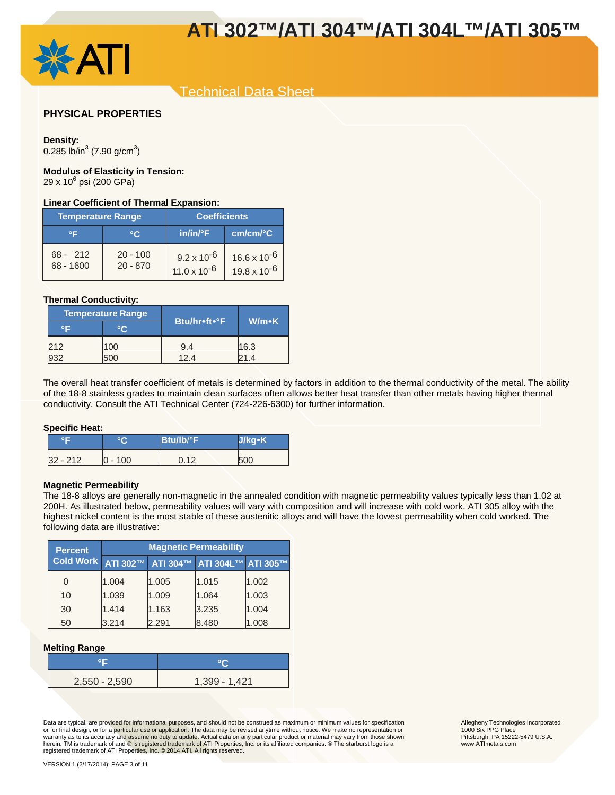

## Technical Data Sheet

## **PHYSICAL PROPERTIES**

#### **Density:**

0.285 lb/in $3$  (7.90 g/cm $3$ )

## **Modulus of Elasticity in Tension:**

29 x 10<sup>6</sup> psi (200 GPa)

#### **Linear Coefficient of Thermal Expansion:**

| <b>Temperature Range</b>  |                          | <b>Coefficients</b>                           |                                                |
|---------------------------|--------------------------|-----------------------------------------------|------------------------------------------------|
| ∘⊏                        | °C                       | $in/in/{}^{\circ}F$                           | cm/cm/°C                                       |
| $68 - 212$<br>$68 - 1600$ | $20 - 100$<br>$20 - 870$ | $9.2 \times 10^{-6}$<br>$11.0 \times 10^{-6}$ | $16.6 \times 10^{-6}$<br>$19.8 \times 10^{-6}$ |

#### **Thermal Conductivity:**

| <b>Temperature Range</b> |       |                     |       |  |
|--------------------------|-------|---------------------|-------|--|
|                          |       | <b>Btu/hr•ft•°F</b> | W/m•K |  |
| 212                      | 100   | 9.4                 | 16.3  |  |
|                          | . I N | 124                 |       |  |

The overall heat transfer coefficient of metals is determined by factors in addition to the thermal conductivity of the metal. The ability of the 18-8 stainless grades to maintain clean surfaces often allows better heat transfer than other metals having higher thermal conductivity. Consult the ATI Technical Center (724-226-6300) for further information.

#### **Specific Heat:**

| ᅂ          |           | $B$ tu/lb/ $\degree$ F | J/kg·K |
|------------|-----------|------------------------|--------|
| $32 - 212$ | $0 - 100$ | 0.12                   | 500    |

#### **Magnetic Permeability**

The 18-8 alloys are generally non-magnetic in the annealed condition with magnetic permeability values typically less than 1.02 at 200H. As illustrated below, permeability values will vary with composition and will increase with cold work. ATI 305 alloy with the highest nickel content is the most stable of these austenitic alloys and will have the lowest permeability when cold worked. The following data are illustrative:

| <b>Percent</b>   | <b>Magnetic Permeability</b> |       |                                      |       |
|------------------|------------------------------|-------|--------------------------------------|-------|
| <b>Cold Work</b> |                              |       | ATI 302™ ATI 304™ ATI 304L™ ATI 305™ |       |
|                  | 1.004                        | 1.005 | 1.015                                | 1.002 |
| 10               | 1.039                        | 1.009 | 1.064                                | 1.003 |
| 30               | 1.414                        | 1.163 | 3.235                                | 1.004 |
| 50               | 3.214                        | 2.291 | 8.480                                | 1.008 |

#### **Melting Range**

| $2,550 - 2,590$ | 1,399 - 1,421 |
|-----------------|---------------|

Data are typical, are provided for informational purposes, and should not be construed as maximum or minimum values for specification<br>or for final design, or for a particular use or application. The data may be revised any warranty as to its accuracy and assume no duty to update. Actual data on any particular product or material may vary from those shown herein. TM is trademark of and ® is registered trademark of ATI Properties, Inc. or its affiliated companies. ® The starburst logo is a<br>registered trademark of ATI Properties, Inc. © 2014 ATI. All rights reserved.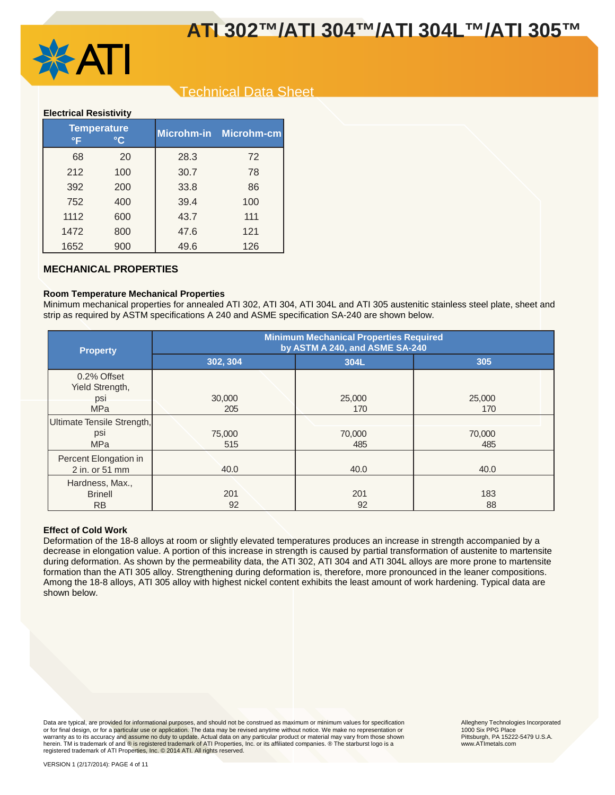

## Technical Data Sheet

#### **Electrical Resistivity**

| °F   | <b>Temperature</b><br>°C |      | Microhm-in Microhm-cm |
|------|--------------------------|------|-----------------------|
| 68   | 20                       | 28.3 | 72                    |
| 212  | 100                      | 30.7 | 78                    |
| 392  | 200                      | 33.8 | 86                    |
| 752  | 400                      | 39.4 | 100                   |
| 1112 | 600                      | 43.7 | 111                   |
| 1472 | 800                      | 47.6 | 121                   |
| 1652 | 900                      | 49.6 | 126                   |

## **MECHANICAL PROPERTIES**

### **Room Temperature Mechanical Properties**

Minimum mechanical properties for annealed ATI 302, ATI 304, ATI 304L and ATI 305 austenitic stainless steel plate, sheet and strip as required by ASTM specifications A 240 and ASME specification SA-240 are shown below.

| <b>Property</b>                         | <b>Minimum Mechanical Properties Required</b><br>by ASTM A 240, and ASME SA-240 |        |        |  |  |
|-----------------------------------------|---------------------------------------------------------------------------------|--------|--------|--|--|
|                                         | 302, 304                                                                        | 304L   | 305    |  |  |
| 0.2% Offset<br>Yield Strength,          |                                                                                 |        |        |  |  |
| psi                                     | 30,000                                                                          | 25,000 | 25,000 |  |  |
| <b>MPa</b>                              | 205                                                                             | 170    | 170    |  |  |
| Ultimate Tensile Strength,              |                                                                                 |        |        |  |  |
| psi                                     | 75,000                                                                          | 70,000 | 70,000 |  |  |
| <b>MPa</b>                              | 515                                                                             | 485    | 485    |  |  |
| Percent Elongation in<br>2 in. or 51 mm | 40.0                                                                            | 40.0   | 40.0   |  |  |
| Hardness, Max.,                         |                                                                                 |        |        |  |  |
| <b>Brinell</b>                          | 201                                                                             | 201    | 183    |  |  |
| <b>RB</b>                               | 92                                                                              | 92     | 88     |  |  |

#### **Effect of Cold Work**

Deformation of the 18-8 alloys at room or slightly elevated temperatures produces an increase in strength accompanied by a decrease in elongation value. A portion of this increase in strength is caused by partial transformation of austenite to martensite during deformation. As shown by the permeability data, the ATI 302, ATI 304 and ATI 304L alloys are more prone to martensite formation than the ATI 305 alloy. Strengthening during deformation is, therefore, more pronounced in the leaner compositions. Among the 18-8 alloys, ATI 305 alloy with highest nickel content exhibits the least amount of work hardening. Typical data are shown below.

Data are typical, are provided for informational purposes, and should not be construed as maximum or minimum values for specification<br>or for final design, or for a particular use or application. The data may be revised any warranty as to its accuracy and assume no duty to update. Actual data on any particular product or material may vary from those shown herein. TM is trademark of and ® is registered trademark of ATI Properties, Inc. or its affiliated companies. ® The starburst logo is a<br>registered trademark of ATI Properties, Inc. © 2014 ATI. All rights reserved.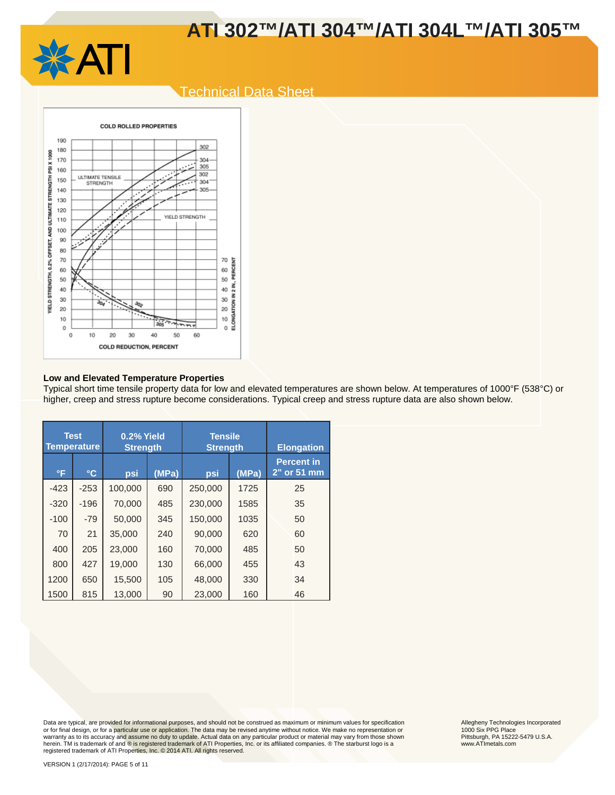

## Technical Data Sheet



#### **Low and Elevated Temperature Properties**

Typical short time tensile property data for low and elevated temperatures are shown below. At temperatures of 1000°F (538°C) or higher, creep and stress rupture become considerations. Typical creep and stress rupture data are also shown below.

|              | <b>Test</b><br><b>Temperature</b> | 0.2% Yield<br><b>Tensile</b><br><b>Strength</b><br><b>Strength</b> |       |         |       | <b>Elongation</b>                |
|--------------|-----------------------------------|--------------------------------------------------------------------|-------|---------|-------|----------------------------------|
| $\mathsf{P}$ | $\circ$ C                         | psi                                                                | (MPa) | psi     | (MPa) | <b>Percent in</b><br>2" or 51 mm |
| $-423$       | $-253$                            | 100,000                                                            | 690   | 250,000 | 1725  | 25                               |
| $-320$       | $-196$                            | 70,000                                                             | 485   | 230,000 | 1585  | 35                               |
| $-100$       | $-79$                             | 50.000                                                             | 345   | 150.000 | 1035  | 50                               |
| 70           | 21                                | 35,000                                                             | 240   | 90,000  | 620   | 60                               |
| 400          | 205                               | 23,000                                                             | 160   | 70,000  | 485   | 50                               |
| 800          | 427                               | 19,000                                                             | 130   | 66,000  | 455   | 43                               |
| 1200         | 650                               | 15,500                                                             | 105   | 48,000  | 330   | 34                               |
| 1500         | 815                               | 13,000                                                             | 90    | 23,000  | 160   | 46                               |

Data are typical, are provided for informational purposes, and should not be construed as maximum or minimum values for specification<br>or for final design, or for a particular use or application. The data may be revised any warranty as to its accuracy and assume no duty to update. Actual data on any particular product or material may vary from those shown herein. TM is trademark of and ® is registered trademark of ATI Properties, Inc. or its affiliated companies. ® The starburst logo is a<br>registered trademark of ATI Properties, Inc. © 2014 ATI. All rights reserved.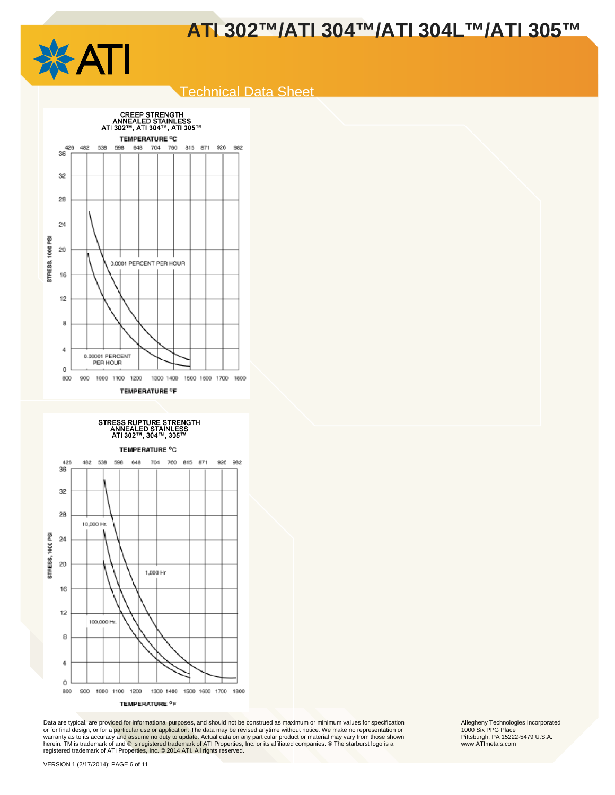

## Technical Data Sheet





Data are typical, are provided for informational purposes, and should not be construed as maximum or minimum values for specification<br>or for final design, or for a particular use or application. The data may be revised any warranty as to its accuracy and assume no duty to update. Actual data on any particular product or material may vary from those shown herein. TM is trademark of and ® is registered trademark of ATI Properties, Inc. or its affiliated companies. ® The starburst logo is a<br>registered trademark of ATI Properties, Inc. © 2014 ATI. All rights reserved.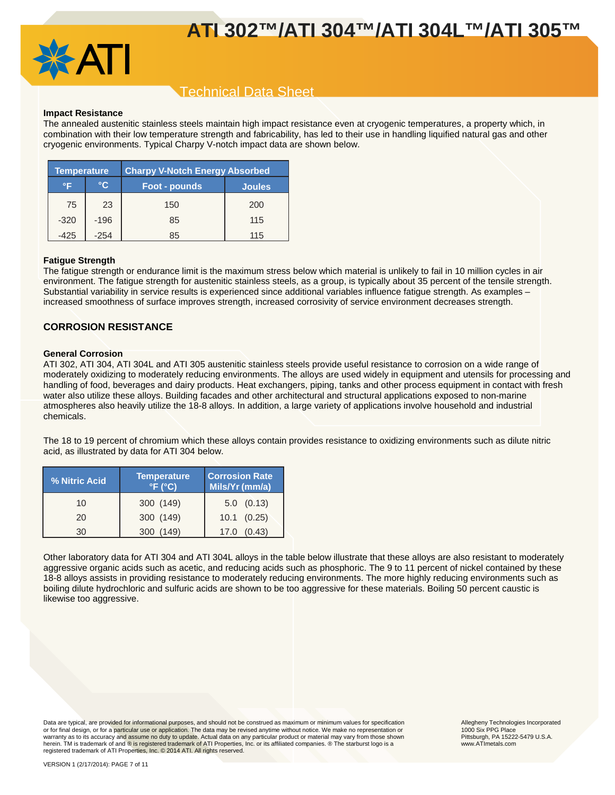

## Technical Data Sheet

#### **Impact Resistance**

The annealed austenitic stainless steels maintain high impact resistance even at cryogenic temperatures, a property which, in combination with their low temperature strength and fabricability, has led to their use in handling liquified natural gas and other cryogenic environments. Typical Charpy V-notch impact data are shown below.

| <b>Temperature</b> |        | <b>Charpy V-Notch Energy Absorbed</b> |               |
|--------------------|--------|---------------------------------------|---------------|
| °F                 | °C     | Foot - pounds                         | <b>Joules</b> |
| 75                 | 23     | 150                                   | 200           |
| $-320$             | $-196$ | 85                                    | 115           |
| -425               | $-254$ | 85                                    | 115           |

#### **Fatigue Strength**

The fatigue strength or endurance limit is the maximum stress below which material is unlikely to fail in 10 million cycles in air environment. The fatigue strength for austenitic stainless steels, as a group, is typically about 35 percent of the tensile strength. Substantial variability in service results is experienced since additional variables influence fatigue strength. As examples – increased smoothness of surface improves strength, increased corrosivity of service environment decreases strength.

### **CORROSION RESISTANCE**

#### **General Corrosion**

ATI 302, ATI 304, ATI 304L and ATI 305 austenitic stainless steels provide useful resistance to corrosion on a wide range of moderately oxidizing to moderately reducing environments. The alloys are used widely in equipment and utensils for processing and handling of food, beverages and dairy products. Heat exchangers, piping, tanks and other process equipment in contact with fresh water also utilize these alloys. Building facades and other architectural and structural applications exposed to non-marine atmospheres also heavily utilize the 18-8 alloys. In addition, a large variety of applications involve household and industrial chemicals.

The 18 to 19 percent of chromium which these alloys contain provides resistance to oxidizing environments such as dilute nitric acid, as illustrated by data for ATI 304 below.

| % Nitric Acid | <b>Temperature</b><br>$\degree$ F ( $\degree$ C) | <b>Corrosion Rate</b><br>Mils/Yr (mm/a) |
|---------------|--------------------------------------------------|-----------------------------------------|
| 10            | 300 (149)                                        | $5.0$ $(0.13)$                          |
| 20            | 300 (149)                                        | $10.1$ $(0.25)$                         |
| 30            | 149<br>300                                       | (0.43)<br>17.0                          |

Other laboratory data for ATI 304 and ATI 304L alloys in the table below illustrate that these alloys are also resistant to moderately aggressive organic acids such as acetic, and reducing acids such as phosphoric. The 9 to 11 percent of nickel contained by these 18-8 alloys assists in providing resistance to moderately reducing environments. The more highly reducing environments such as boiling dilute hydrochloric and sulfuric acids are shown to be too aggressive for these materials. Boiling 50 percent caustic is likewise too aggressive.

Data are typical, are provided for informational purposes, and should not be construed as maximum or minimum values for specification<br>or for final design, or for a particular use or application. The data may be revised any warranty as to its accuracy and assume no duty to update. Actual data on any particular product or material may vary from those shown herein. TM is trademark of and ® is registered trademark of ATI Properties, Inc. or its affiliated companies. ® The starburst logo is a registered trademark of ATI Properties, Inc. © 2014 ATI. All rights reserved.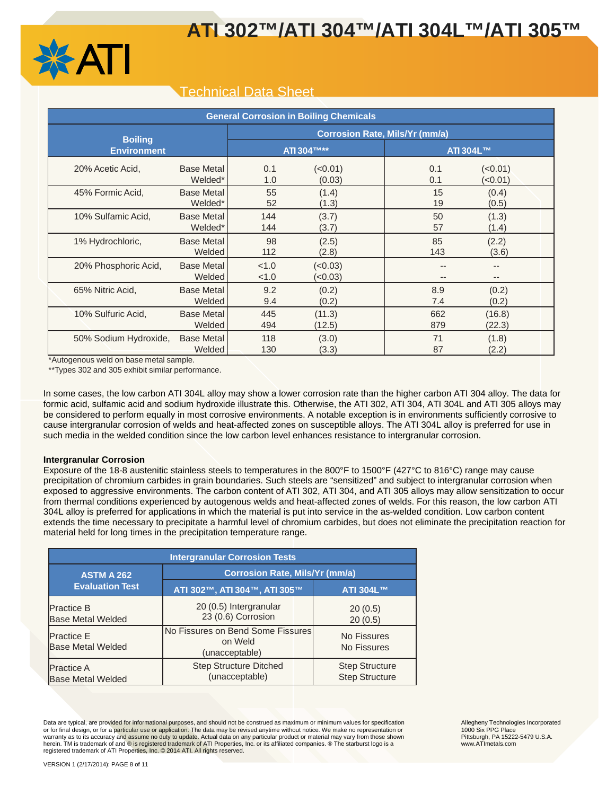

## Technical Data Sheet

| <b>General Corrosion in Boiling Chemicals</b> |                             |                                       |                   |       |                  |  |  |
|-----------------------------------------------|-----------------------------|---------------------------------------|-------------------|-------|------------------|--|--|
| <b>Boiling</b><br><b>Environment</b>          |                             | <b>Corrosion Rate, Mils/Yr (mm/a)</b> |                   |       |                  |  |  |
|                                               |                             | <b>ATI 304TM**</b>                    |                   |       | <b>ATI 304L™</b> |  |  |
| 20% Acetic Acid,                              | <b>Base Metal</b>           | 0.1                                   | (<0.01)           | 0.1   | (<0.01)          |  |  |
|                                               | Welded*                     | 1.0                                   | (0.03)            | 0.1   | (<0.01)          |  |  |
| 45% Formic Acid,                              | <b>Base Metal</b>           | 55                                    | (1.4)             | 15    | (0.4)            |  |  |
|                                               | Welded*                     | 52                                    | (1.3)             | 19    | (0.5)            |  |  |
| 10% Sulfamic Acid,                            | <b>Base Metal</b>           | 144                                   | (3.7)             | 50    | (1.3)            |  |  |
|                                               | Welded*                     | 144                                   | (3.7)             | 57    | (1.4)            |  |  |
| 1% Hydrochloric,                              | <b>Base Metal</b>           | 98                                    | (2.5)             | 85    | (2.2)            |  |  |
|                                               | Welded                      | 112                                   | (2.8)             | 143   | (3.6)            |  |  |
| 20% Phosphoric Acid,                          | <b>Base Metal</b><br>Welded | < 1.0<br>< 1.0                        | (<0.03)<br>(0.03) | $- -$ | --               |  |  |
| 65% Nitric Acid,                              | <b>Base Metal</b>           | 9.2                                   | (0.2)             | 8.9   | (0.2)            |  |  |
|                                               | Welded                      | 9.4                                   | (0.2)             | 7.4   | (0.2)            |  |  |
| 10% Sulfuric Acid,                            | <b>Base Metal</b>           | 445                                   | (11.3)            | 662   | (16.8)           |  |  |
|                                               | Welded                      | 494                                   | (12.5)            | 879   | (22.3)           |  |  |
| 50% Sodium Hydroxide,                         | <b>Base Metal</b>           | 118                                   | (3.0)             | 71    | (1.8)            |  |  |
|                                               | Welded                      | 130                                   | (3.3)             | 87    | (2.2)            |  |  |

\*Autogenous weld on base metal sample.

\*\*Types 302 and 305 exhibit similar performance.

In some cases, the low carbon ATI 304L alloy may show a lower corrosion rate than the higher carbon ATI 304 alloy. The data for formic acid, sulfamic acid and sodium hydroxide illustrate this. Otherwise, the ATI 302, ATI 304, ATI 304L and ATI 305 alloys may be considered to perform equally in most corrosive environments. A notable exception is in environments sufficiently corrosive to cause intergranular corrosion of welds and heat-affected zones on susceptible alloys. The ATI 304L alloy is preferred for use in such media in the welded condition since the low carbon level enhances resistance to intergranular corrosion.

#### **Intergranular Corrosion**

Exposure of the 18-8 austenitic stainless steels to temperatures in the 800°F to 1500°F (427°C to 816°C) range may cause precipitation of chromium carbides in grain boundaries. Such steels are "sensitized" and subject to intergranular corrosion when exposed to aggressive environments. The carbon content of ATI 302, ATI 304, and ATI 305 alloys may allow sensitization to occur from thermal conditions experienced by autogenous welds and heat-affected zones of welds. For this reason, the low carbon ATI 304L alloy is preferred for applications in which the material is put into service in the as-welded condition. Low carbon content extends the time necessary to precipitate a harmful level of chromium carbides, but does not eliminate the precipitation reaction for material held for long times in the precipitation temperature range.

| <b>Intergranular Corrosion Tests</b>          |                                                                |                                                |  |  |  |  |
|-----------------------------------------------|----------------------------------------------------------------|------------------------------------------------|--|--|--|--|
| <b>ASTM A 262</b>                             | <b>Corrosion Rate, Mils/Yr (mm/a)</b>                          |                                                |  |  |  |  |
| <b>Evaluation Test</b>                        | ATI 302™, ATI 304™, ATI 305™                                   | ATI 304L™                                      |  |  |  |  |
| <b>Practice B</b><br><b>Base Metal Welded</b> | 20 (0.5) Intergranular<br>23 (0.6) Corrosion                   | 20(0.5)<br>20(0.5)                             |  |  |  |  |
| <b>Practice E</b><br><b>Base Metal Welded</b> | No Fissures on Bend Some Fissures<br>on Weld<br>(unacceptable) | No Fissures<br>No Fissures                     |  |  |  |  |
| <b>Practice A</b><br><b>Base Metal Welded</b> | <b>Step Structure Ditched</b><br>(unacceptable)                | <b>Step Structure</b><br><b>Step Structure</b> |  |  |  |  |

Data are typical, are provided for informational purposes, and should not be construed as maximum or minimum values for specification<br>or for final design, or for a particular use or application. The data may be revised any warranty as to its accuracy and assume no duty to update. Actual data on any particular product or material may vary from those shown herein. TM is trademark of and ® is registered trademark of ATI Properties, Inc. or its affiliated companies. ® The starburst logo is a<br>registered trademark of ATI Properties, Inc. © 2014 ATI. All rights reserved.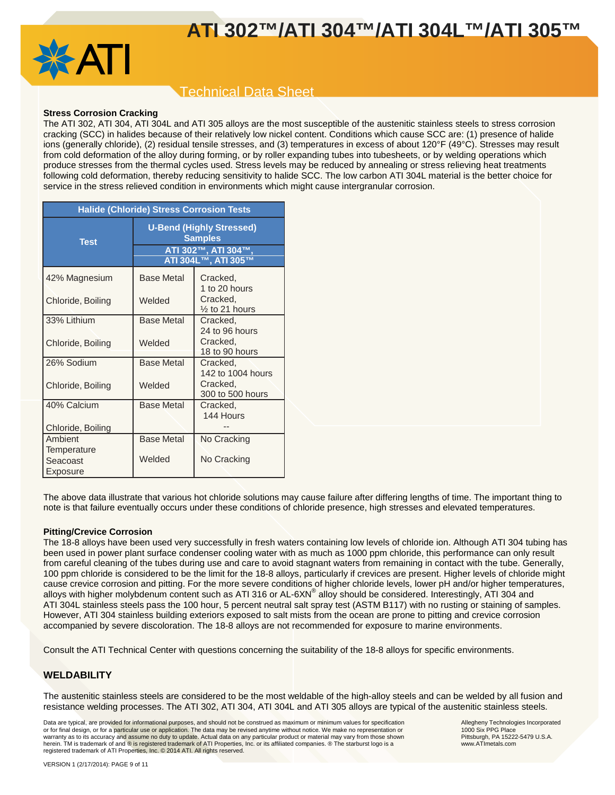

## Technical Data Sheet

### **Stress Corrosion Cracking**

The ATI 302, ATI 304, ATI 304L and ATI 305 alloys are the most susceptible of the austenitic stainless steels to stress corrosion cracking (SCC) in halides because of their relatively low nickel content. Conditions which cause SCC are: (1) presence of halide ions (generally chloride), (2) residual tensile stresses, and (3) temperatures in excess of about 120°F (49°C). Stresses may result from cold deformation of the alloy during forming, or by roller expanding tubes into tubesheets, or by welding operations which produce stresses from the thermal cycles used. Stress levels may be reduced by annealing or stress relieving heat treatments following cold deformation, thereby reducing sensitivity to halide SCC. The low carbon ATI 304L material is the better choice for service in the stress relieved condition in environments which might cause intergranular corrosion.

| <b>Halide (Chloride) Stress Corrosion Tests</b> |                                                                                                 |                                       |  |  |  |
|-------------------------------------------------|-------------------------------------------------------------------------------------------------|---------------------------------------|--|--|--|
| <b>Test</b>                                     | <b>U-Bend (Highly Stressed)</b><br><b>Samples</b><br>ATI 302™, ATI 304™,<br>ATI 304L™, ATI 305™ |                                       |  |  |  |
| 42% Magnesium                                   | <b>Base Metal</b>                                                                               | Cracked,<br>1 to 20 hours             |  |  |  |
| Chloride, Boiling                               | Welded                                                                                          | Cracked.<br>$\frac{1}{2}$ to 21 hours |  |  |  |
| 33% Lithium                                     | <b>Base Metal</b>                                                                               | Cracked,<br>24 to 96 hours            |  |  |  |
| Chloride, Boiling                               | Welded                                                                                          | Cracked,<br>18 to 90 hours            |  |  |  |
| 26% Sodium                                      | <b>Base Metal</b>                                                                               | Cracked,<br>142 to 1004 hours         |  |  |  |
| Chloride, Boiling                               | Welded                                                                                          | Cracked,<br>300 to 500 hours          |  |  |  |
| 40% Calcium                                     | <b>Base Metal</b>                                                                               | Cracked.<br>144 Hours                 |  |  |  |
| Chloride, Boiling                               |                                                                                                 |                                       |  |  |  |
| Ambient                                         | <b>Base Metal</b>                                                                               | No Cracking                           |  |  |  |
| Temperature                                     |                                                                                                 |                                       |  |  |  |
| Seacoast                                        | Welded                                                                                          | No Cracking                           |  |  |  |
| Exposure                                        |                                                                                                 |                                       |  |  |  |

The above data illustrate that various hot chloride solutions may cause failure after differing lengths of time. The important thing to note is that failure eventually occurs under these conditions of chloride presence, high stresses and elevated temperatures.

#### **Pitting/Crevice Corrosion**

The 18-8 alloys have been used very successfully in fresh waters containing low levels of chloride ion. Although ATI 304 tubing has been used in power plant surface condenser cooling water with as much as 1000 ppm chloride, this performance can only result from careful cleaning of the tubes during use and care to avoid stagnant waters from remaining in contact with the tube. Generally, 100 ppm chloride is considered to be the limit for the 18-8 alloys, particularly if crevices are present. Higher levels of chloride might cause crevice corrosion and pitting. For the more severe conditions of higher chloride levels, lower pH and/or higher temperatures, alloys with higher molybdenum content such as ATI 316 or AL-6XN<sup>®</sup> alloy should be considered. Interestingly, ATI 304 and ATI 304L stainless steels pass the 100 hour, 5 percent neutral salt spray test (ASTM B117) with no rusting or staining of samples. However, ATI 304 stainless building exteriors exposed to salt mists from the ocean are prone to pitting and crevice corrosion accompanied by severe discoloration. The 18-8 alloys are not recommended for exposure to marine environments.

Consult the ATI Technical Center with questions concerning the suitability of the 18-8 alloys for specific environments.

## **WELDABILITY**

The austenitic stainless steels are considered to be the most weldable of the high-alloy steels and can be welded by all fusion and resistance welding processes. The ATI 302, ATI 304, ATI 304L and ATI 305 alloys are typical of the austenitic stainless steels.

Data are typical, are provided for informational purposes, and should not be construed as maximum or minimum values for specification<br>or for final design, or for a particular use or application. The data may be revised any warranty as to its accuracy and assume no duty to update. Actual data on any particular product or material may vary from those shown herein. TM is trademark of and ® is registered trademark of ATI Properties, Inc. or its affiliated companies. ® The starburst logo is a registered trademark of ATI Properties, Inc. © 2014 ATI. All rights reserved.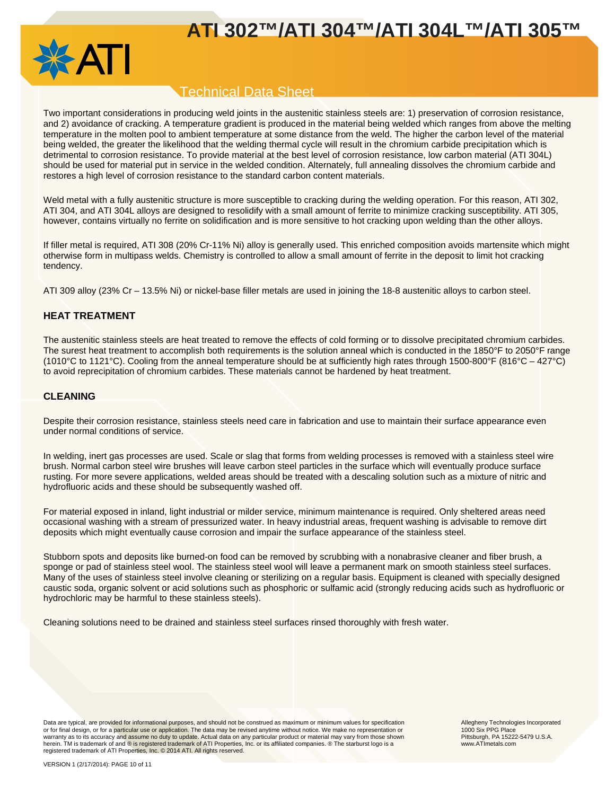

## Technical Data Sheet

Two important considerations in producing weld joints in the austenitic stainless steels are: 1) preservation of corrosion resistance, and 2) avoidance of cracking. A temperature gradient is produced in the material being welded which ranges from above the melting temperature in the molten pool to ambient temperature at some distance from the weld. The higher the carbon level of the material being welded, the greater the likelihood that the welding thermal cycle will result in the chromium carbide precipitation which is detrimental to corrosion resistance. To provide material at the best level of corrosion resistance, low carbon material (ATI 304L) should be used for material put in service in the welded condition. Alternately, full annealing dissolves the chromium carbide and restores a high level of corrosion resistance to the standard carbon content materials.

Weld metal with a fully austenitic structure is more susceptible to cracking during the welding operation. For this reason, ATI 302, ATI 304, and ATI 304L alloys are designed to resolidify with a small amount of ferrite to minimize cracking susceptibility. ATI 305, however, contains virtually no ferrite on solidification and is more sensitive to hot cracking upon welding than the other alloys.

If filler metal is required, ATI 308 (20% Cr-11% Ni) alloy is generally used. This enriched composition avoids martensite which might otherwise form in multipass welds. Chemistry is controlled to allow a small amount of ferrite in the deposit to limit hot cracking tendency.

ATI 309 alloy (23% Cr – 13.5% Ni) or nickel-base filler metals are used in joining the 18-8 austenitic alloys to carbon steel.

## **HEAT TREATMENT**

The austenitic stainless steels are heat treated to remove the effects of cold forming or to dissolve precipitated chromium carbides. The surest heat treatment to accomplish both requirements is the solution anneal which is conducted in the 1850°F to 2050°F range (1010°C to 1121°C). Cooling from the anneal temperature should be at sufficiently high rates through 1500-800°F (816°C – 427°C) to avoid reprecipitation of chromium carbides. These materials cannot be hardened by heat treatment.

## **CLEANING**

Despite their corrosion resistance, stainless steels need care in fabrication and use to maintain their surface appearance even under normal conditions of service.

In welding, inert gas processes are used. Scale or slag that forms from welding processes is removed with a stainless steel wire brush. Normal carbon steel wire brushes will leave carbon steel particles in the surface which will eventually produce surface rusting. For more severe applications, welded areas should be treated with a descaling solution such as a mixture of nitric and hydrofluoric acids and these should be subsequently washed off.

For material exposed in inland, light industrial or milder service, minimum maintenance is required. Only sheltered areas need occasional washing with a stream of pressurized water. In heavy industrial areas, frequent washing is advisable to remove dirt deposits which might eventually cause corrosion and impair the surface appearance of the stainless steel.

Stubborn spots and deposits like burned-on food can be removed by scrubbing with a nonabrasive cleaner and fiber brush, a sponge or pad of stainless steel wool. The stainless steel wool will leave a permanent mark on smooth stainless steel surfaces. Many of the uses of stainless steel involve cleaning or sterilizing on a regular basis. Equipment is cleaned with specially designed caustic soda, organic solvent or acid solutions such as phosphoric or sulfamic acid (strongly reducing acids such as hydrofluoric or hydrochloric may be harmful to these stainless steels).

Cleaning solutions need to be drained and stainless steel surfaces rinsed thoroughly with fresh water.

Data are typical, are provided for informational purposes, and should not be construed as maximum or minimum values for specification<br>or for final design, or for a particular use or application. The data may be revised any warranty as to its accuracy and assume no duty to update. Actual data on any particular product or material may vary from those shown herein. TM is trademark of and ® is registered trademark of ATI Properties, Inc. or its affiliated companies. ® The starburst logo is a registered trademark of ATI Properties, Inc. © 2014 ATI. All rights reserved.